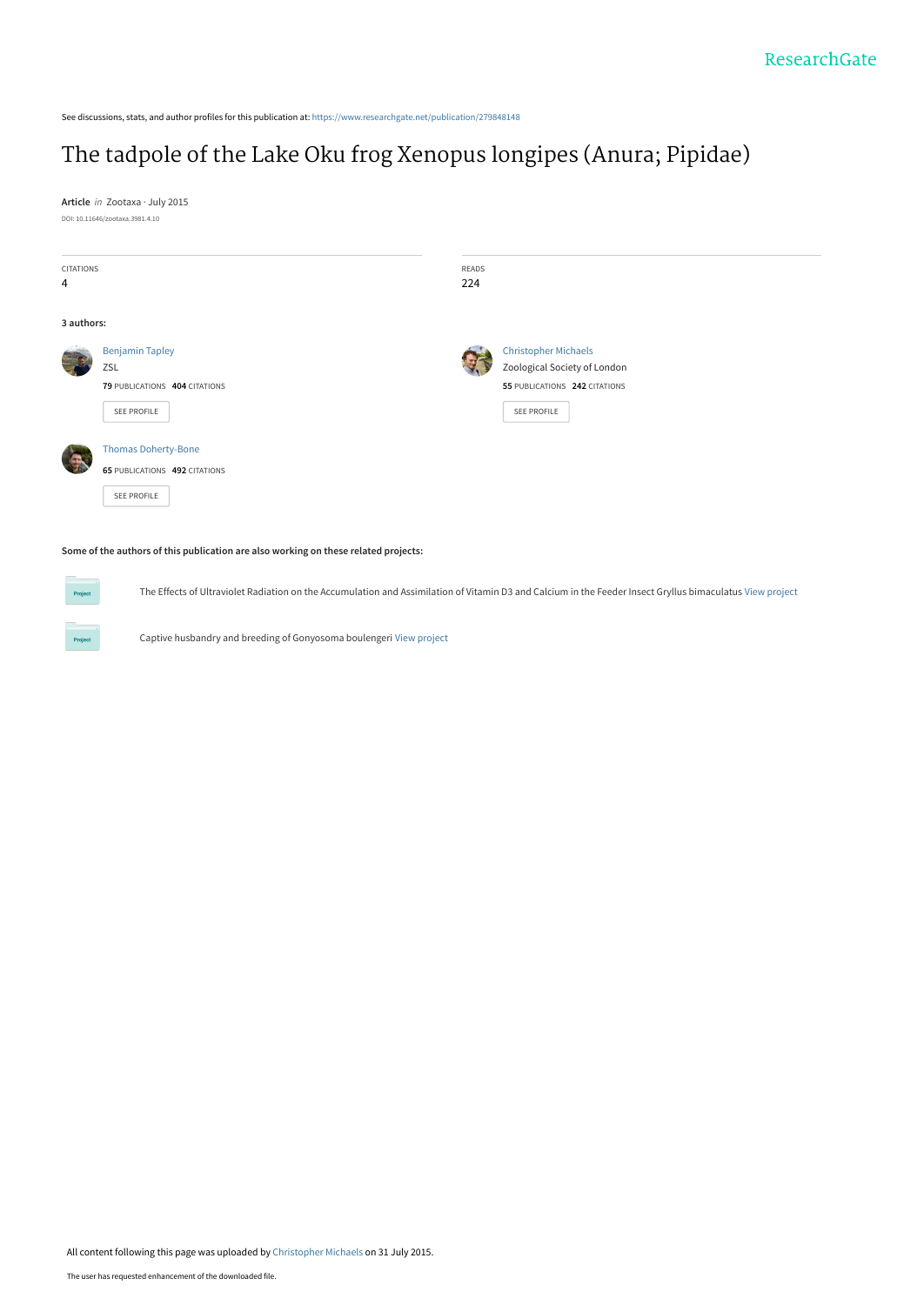See discussions, stats, and author profiles for this publication at: [https://www.researchgate.net/publication/279848148](https://www.researchgate.net/publication/279848148_The_tadpole_of_the_Lake_Oku_frog_Xenopus_longipes_Anura_Pipidae?enrichId=rgreq-dff6df9e7160e31b2520f9406b67c23c-XXX&enrichSource=Y292ZXJQYWdlOzI3OTg0ODE0ODtBUzoyNTczMTQ3NzA5MTEyMzNAMTQzODM2MDAzMDY3MA%3D%3D&el=1_x_2&_esc=publicationCoverPdf)

# [The tadpole of the Lake Oku frog Xenopus longipes \(Anura; Pipidae\)](https://www.researchgate.net/publication/279848148_The_tadpole_of_the_Lake_Oku_frog_Xenopus_longipes_Anura_Pipidae?enrichId=rgreq-dff6df9e7160e31b2520f9406b67c23c-XXX&enrichSource=Y292ZXJQYWdlOzI3OTg0ODE0ODtBUzoyNTczMTQ3NzA5MTEyMzNAMTQzODM2MDAzMDY3MA%3D%3D&el=1_x_3&_esc=publicationCoverPdf)

**Article** in Zootaxa · July 2015 DOI: 10.11646/zootaxa.3981.4.10

**Project** 

**Project** 

| <b>CITATIONS</b> |                               | READS |                               |
|------------------|-------------------------------|-------|-------------------------------|
| 4                |                               | 224   |                               |
|                  |                               |       |                               |
| 3 authors:       |                               |       |                               |
|                  | <b>Benjamin Tapley</b>        |       | <b>Christopher Michaels</b>   |
|                  | ZSL                           |       | Zoological Society of London  |
|                  | 79 PUBLICATIONS 404 CITATIONS |       | 55 PUBLICATIONS 242 CITATIONS |
|                  | SEE PROFILE                   |       | SEE PROFILE                   |
|                  |                               |       |                               |
|                  | <b>Thomas Doherty-Bone</b>    |       |                               |
|                  | 65 PUBLICATIONS 492 CITATIONS |       |                               |
|                  | SEE PROFILE                   |       |                               |
|                  |                               |       |                               |

**Some of the authors of this publication are also working on these related projects:**

The Effects of Ultraviolet Radiation on the Accumulation and Assimilation of Vitamin D3 and Calcium in the Feeder Insect Gryllus bimaculatus [View project](https://www.researchgate.net/project/The-Effects-of-Ultraviolet-Radiation-on-the-Accumulation-and-Assimilation-of-Vitamin-D3-and-Calcium-in-the-Feeder-Insect-Gryllus-bimaculatus?enrichId=rgreq-dff6df9e7160e31b2520f9406b67c23c-XXX&enrichSource=Y292ZXJQYWdlOzI3OTg0ODE0ODtBUzoyNTczMTQ3NzA5MTEyMzNAMTQzODM2MDAzMDY3MA%3D%3D&el=1_x_9&_esc=publicationCoverPdf)

Captive husbandry and breeding of Gonyosoma boulengeri [View project](https://www.researchgate.net/project/Captive-husbandry-and-breeding-of-Gonyosoma-boulengeri?enrichId=rgreq-dff6df9e7160e31b2520f9406b67c23c-XXX&enrichSource=Y292ZXJQYWdlOzI3OTg0ODE0ODtBUzoyNTczMTQ3NzA5MTEyMzNAMTQzODM2MDAzMDY3MA%3D%3D&el=1_x_9&_esc=publicationCoverPdf)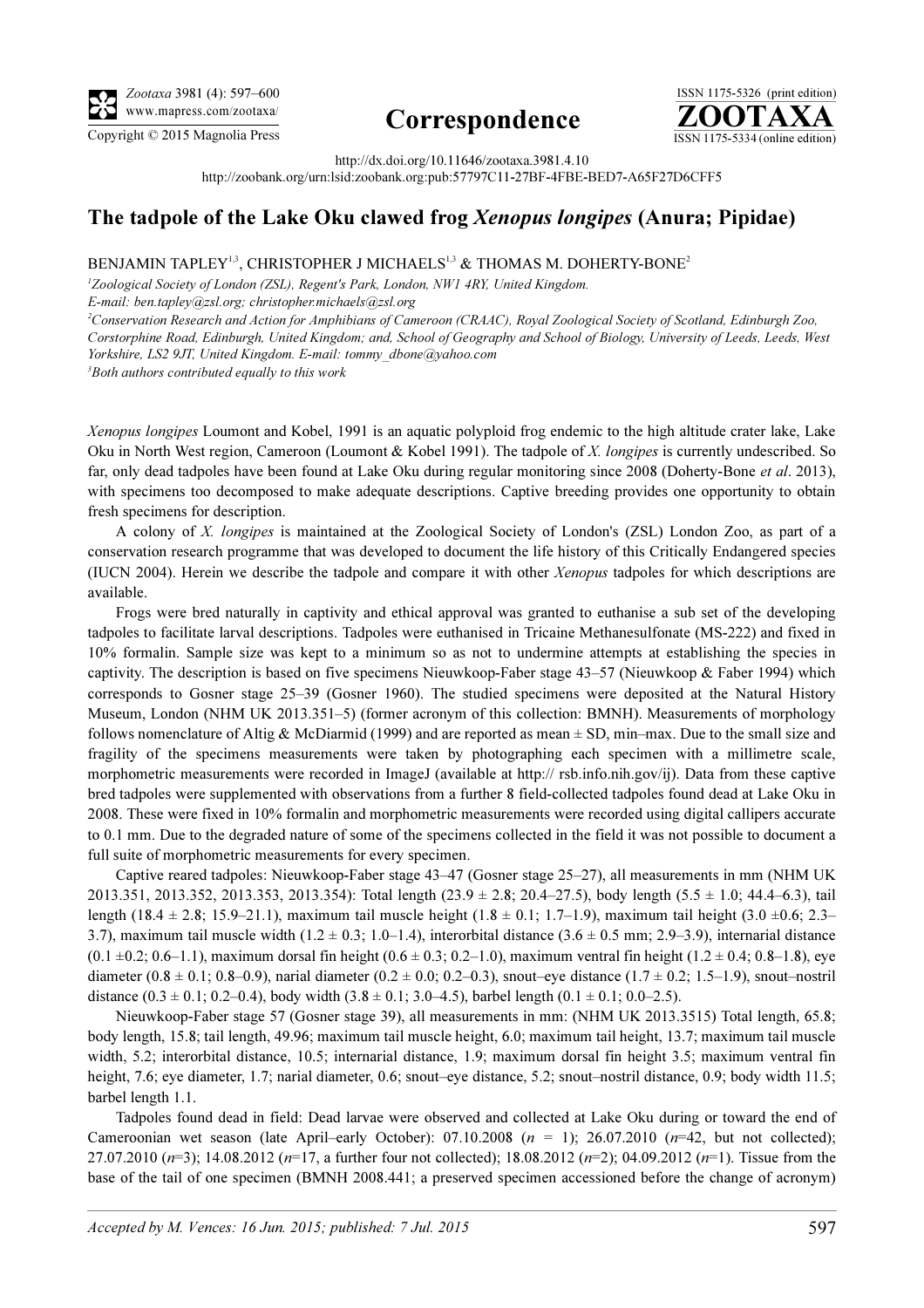

## Correspondence



http://dx.doi.org/10.11646/zootaxa.3981.4.10

http://zoobank.org/urn:lsid:zoobank.org:pub:57797C11-27BF-4FBE-BED7-A65F27D6CFF5

### The tadpole of the Lake Oku clawed frog Xenopus longipes (Anura; Pipidae)

#### BENJAMIN TAPLEY<sup>1,3</sup>, CHRISTOPHER J MICHAELS<sup>1,3</sup> & THOMAS M. DOHERTY-BONE<sup>2</sup>

<sup>1</sup>Zoological Society of London (ZSL), Regent's Park, London, NW1 4RY, United Kingdom. E-mail: ben.tapley@zsl.org; christopher.michaels@zsl.org

<sup>2</sup>Conservation Research and Action for Amphibians of Cameroon (CRAAC), Royal Zoological Society of Scotland, Edinburgh Zoo, Corstorphine Road, Edinburgh, United Kingdom; and, School of Geography and School of Biology, University of Leeds, Leeds, West Yorkshire, LS2 9JT, United Kingdom. E-mail: tommy\_dbone@yahoo.com <sup>3</sup>Both authors contributed equally to this work

Xenopus longipes Loumont and Kobel, 1991 is an aquatic polyploid frog endemic to the high altitude crater lake, Lake Oku in North West region, Cameroon (Loumont & Kobel 1991). The tadpole of X. longipes is currently undescribed. So far, only dead tadpoles have been found at Lake Oku during regular monitoring since 2008 (Doherty-Bone et al. 2013), with specimens too decomposed to make adequate descriptions. Captive breeding provides one opportunity to obtain fresh specimens for description.

A colony of X. longipes is maintained at the Zoological Society of London's (ZSL) London Zoo, as part of a conservation research programme that was developed to document the life history of this Critically Endangered species (IUCN 2004). Herein we describe the tadpole and compare it with other Xenopus tadpoles for which descriptions are available.

Frogs were bred naturally in captivity and ethical approval was granted to euthanise a sub set of the developing tadpoles to facilitate larval descriptions. Tadpoles were euthanised in Tricaine Methanesulfonate (MS-222) and fixed in 10% formalin. Sample size was kept to a minimum so as not to undermine attempts at establishing the species in captivity. The description is based on five specimens Nieuwkoop-Faber stage 43–57 (Nieuwkoop & Faber 1994) which corresponds to Gosner stage 25–39 (Gosner 1960). The studied specimens were deposited at the Natural History Museum, London (NHM UK 2013.351–5) (former acronym of this collection: BMNH). Measurements of morphology follows nomenclature of Altig & McDiarmid (1999) and are reported as mean  $\pm$  SD, min–max. Due to the small size and fragility of the specimens measurements were taken by photographing each specimen with a millimetre scale, morphometric measurements were recorded in ImageJ (available at http:// rsb.info.nih.gov/ij). Data from these captive bred tadpoles were supplemented with observations from a further 8 field-collected tadpoles found dead at Lake Oku in 2008. These were fixed in 10% formalin and morphometric measurements were recorded using digital callipers accurate to 0.1 mm. Due to the degraded nature of some of the specimens collected in the field it was not possible to document a full suite of morphometric measurements for every specimen.

Captive reared tadpoles: Nieuwkoop-Faber stage 43–47 (Gosner stage 25–27), all measurements in mm (NHM UK 2013.351, 2013.352, 2013.353, 2013.354): Total length (23.9  $\pm$  2.8; 20.4–27.5), body length (5.5  $\pm$  1.0; 44.4–6.3), tail length (18.4 ± 2.8; 15.9–21.1), maximum tail muscle height (1.8 ± 0.1; 1.7–1.9), maximum tail height (3.0 ±0.6; 2.3– 3.7), maximum tail muscle width  $(1.2 \pm 0.3; 1.0-1.4)$ , interorbital distance  $(3.6 \pm 0.5 \text{ mm}; 2.9-3.9)$ , internarial distance  $(0.1 \pm 0.2; 0.6-1.1)$ , maximum dorsal fin height  $(0.6 \pm 0.3; 0.2-1.0)$ , maximum ventral fin height  $(1.2 \pm 0.4; 0.8-1.8)$ , eye diameter (0.8  $\pm$  0.1; 0.8–0.9), narial diameter (0.2  $\pm$  0.0; 0.2–0.3), snout–eye distance (1.7  $\pm$  0.2; 1.5–1.9), snout–nostril distance  $(0.3 \pm 0.1; 0.2{-}0.4)$ , body width  $(3.8 \pm 0.1; 3.0{-}4.5)$ , barbel length  $(0.1 \pm 0.1; 0.0{-}2.5)$ .

Nieuwkoop-Faber stage 57 (Gosner stage 39), all measurements in mm: (NHM UK 2013.3515) Total length, 65.8; body length, 15.8; tail length, 49.96; maximum tail muscle height, 6.0; maximum tail height, 13.7; maximum tail muscle width, 5.2; interorbital distance, 10.5; internarial distance, 1.9; maximum dorsal fin height 3.5; maximum ventral fin height, 7.6; eye diameter, 1.7; narial diameter, 0.6; snout–eye distance, 5.2; snout–nostril distance, 0.9; body width 11.5; barbel length 1.1.

Tadpoles found dead in field: Dead larvae were observed and collected at Lake Oku during or toward the end of Cameroonian wet season (late April–early October): 07.10.2008 ( $n = 1$ ); 26.07.2010 ( $n=42$ , but not collected); 27.07.2010  $(n=3)$ ; 14.08.2012  $(n=17)$ , a further four not collected); 18.08.2012  $(n=2)$ ; 04.09.2012  $(n=1)$ . Tissue from the base of the tail of one specimen (BMNH 2008.441; a preserved specimen accessioned before the change of acronym)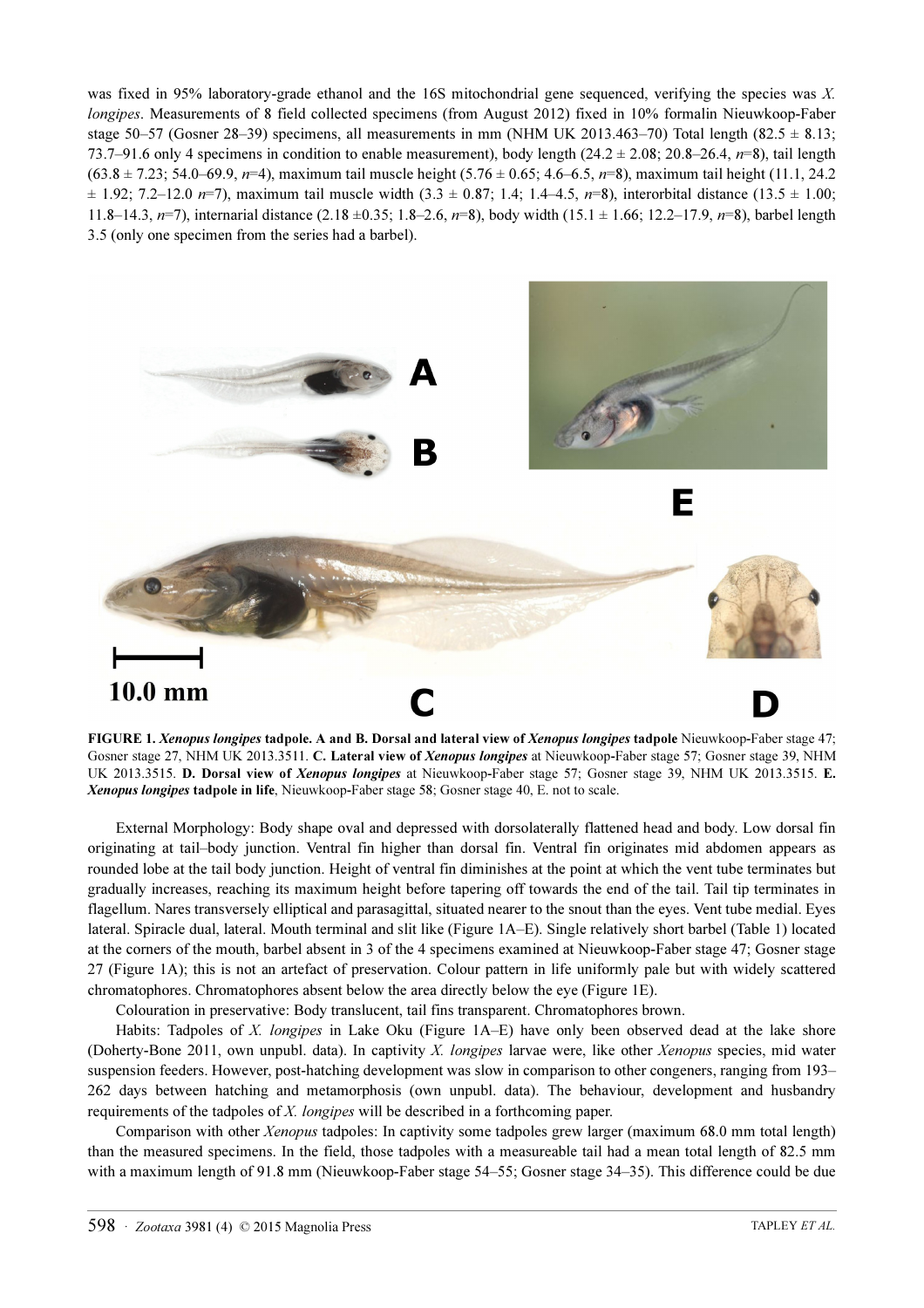was fixed in 95% laboratory-grade ethanol and the 16S mitochondrial gene sequenced, verifying the species was X. longipes. Measurements of 8 field collected specimens (from August 2012) fixed in 10% formalin Nieuwkoop-Faber stage 50–57 (Gosner 28–39) specimens, all measurements in mm (NHM UK 2013.463–70) Total length (82.5  $\pm$  8.13; 73.7–91.6 only 4 specimens in condition to enable measurement), body length  $(24.2 \pm 2.08; 20.8 \pm 26.4, n=8)$ , tail length  $(63.8 \pm 7.23; 54.0 - 69.9, n=4)$ , maximum tail muscle height  $(5.76 \pm 0.65; 4.6 - 6.5, n=8)$ , maximum tail height  $(11.1, 24.2)$  $\pm$  1.92; 7.2–12.0 n=7), maximum tail muscle width (3.3  $\pm$  0.87; 1.4; 1.4–4.5, n=8), interorbital distance (13.5  $\pm$  1.00; 11.8–14.3,  $n=7$ ), internarial distance (2.18  $\pm$ 0.35; 1.8–2.6,  $n=8$ ), body width (15.1  $\pm$  1.66; 12.2–17.9,  $n=8$ ), barbel length 3.5 (only one specimen from the series had a barbel).



FIGURE 1. Xenopus longipes tadpole. A and B. Dorsal and lateral view of Xenopus longipes tadpole Nieuwkoop-Faber stage 47; Gosner stage 27, NHM UK 2013.3511. C. Lateral view of Xenopus longipes at Nieuwkoop-Faber stage 57; Gosner stage 39, NHM UK 2013.3515. D. Dorsal view of Xenopus longipes at Nieuwkoop-Faber stage 57; Gosner stage 39, NHM UK 2013.3515. E. Xenopus longipes tadpole in life, Nieuwkoop-Faber stage 58; Gosner stage 40, E. not to scale.

External Morphology: Body shape oval and depressed with dorsolaterally flattened head and body. Low dorsal fin originating at tail–body junction. Ventral fin higher than dorsal fin. Ventral fin originates mid abdomen appears as rounded lobe at the tail body junction. Height of ventral fin diminishes at the point at which the vent tube terminates but gradually increases, reaching its maximum height before tapering off towards the end of the tail. Tail tip terminates in flagellum. Nares transversely elliptical and parasagittal, situated nearer to the snout than the eyes. Vent tube medial. Eyes lateral. Spiracle dual, lateral. Mouth terminal and slit like (Figure 1A–E). Single relatively short barbel (Table 1) located at the corners of the mouth, barbel absent in 3 of the 4 specimens examined at Nieuwkoop-Faber stage 47; Gosner stage 27 (Figure 1A); this is not an artefact of preservation. Colour pattern in life uniformly pale but with widely scattered chromatophores. Chromatophores absent below the area directly below the eye (Figure 1E).

Colouration in preservative: Body translucent, tail fins transparent. Chromatophores brown.

Habits: Tadpoles of X. longipes in Lake Oku (Figure 1A–E) have only been observed dead at the lake shore (Doherty-Bone 2011, own unpubl. data). In captivity X. longipes larvae were, like other Xenopus species, mid water suspension feeders. However, post-hatching development was slow in comparison to other congeners, ranging from 193– 262 days between hatching and metamorphosis (own unpubl. data). The behaviour, development and husbandry requirements of the tadpoles of X. longipes will be described in a forthcoming paper.

Comparison with other Xenopus tadpoles: In captivity some tadpoles grew larger (maximum 68.0 mm total length) than the measured specimens. In the field, those tadpoles with a measureable tail had a mean total length of 82.5 mm with a maximum length of 91.8 mm (Nieuwkoop-Faber stage 54–55; Gosner stage 34–35). This difference could be due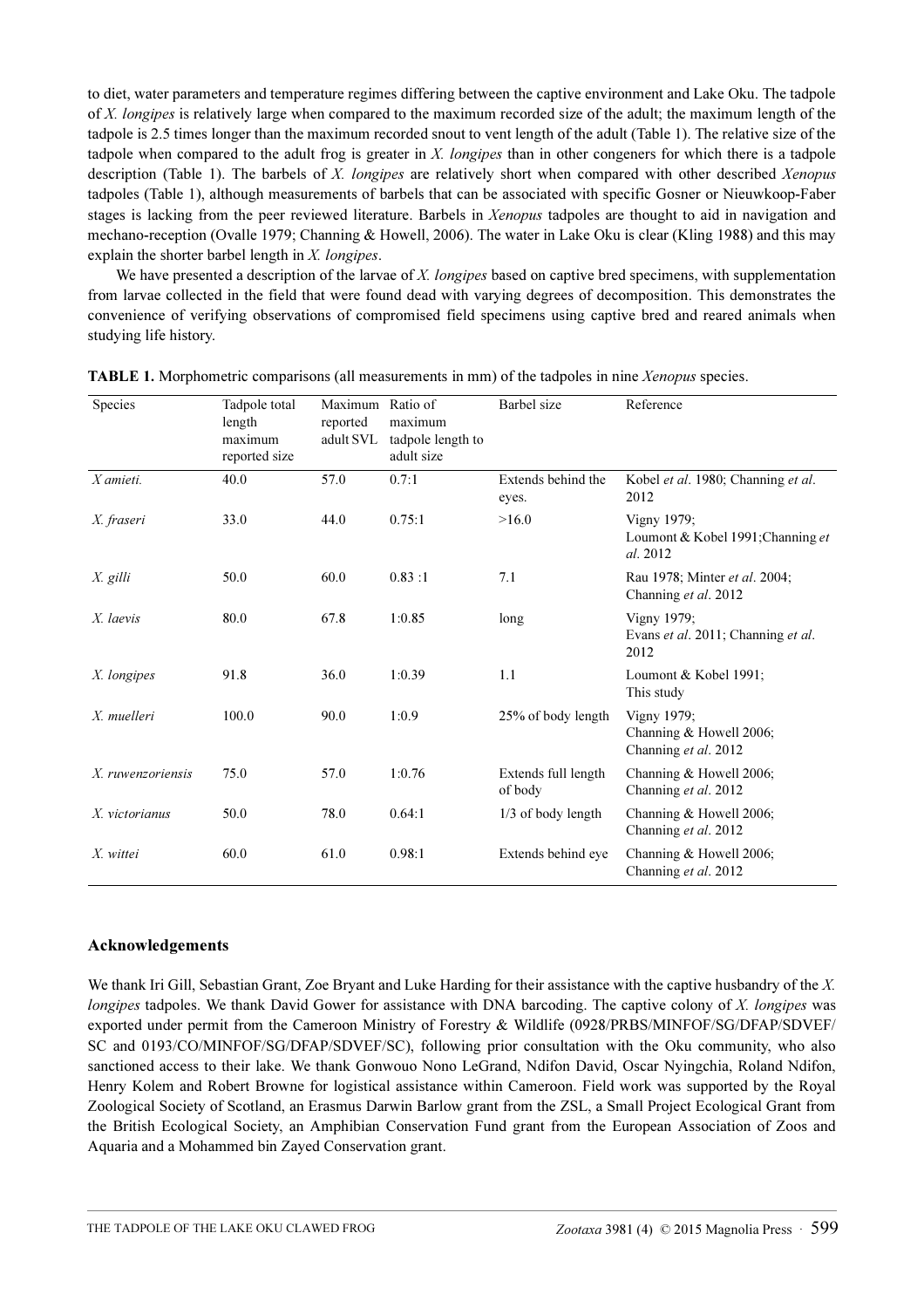to diet, water parameters and temperature regimes differing between the captive environment and Lake Oku. The tadpole of X. longipes is relatively large when compared to the maximum recorded size of the adult; the maximum length of the tadpole is 2.5 times longer than the maximum recorded snout to vent length of the adult (Table 1). The relative size of the tadpole when compared to the adult frog is greater in X. longipes than in other congeners for which there is a tadpole description (Table 1). The barbels of X. longipes are relatively short when compared with other described Xenopus tadpoles (Table 1), although measurements of barbels that can be associated with specific Gosner or Nieuwkoop-Faber stages is lacking from the peer reviewed literature. Barbels in Xenopus tadpoles are thought to aid in navigation and mechano-reception (Ovalle 1979; Channing & Howell, 2006). The water in Lake Oku is clear (Kling 1988) and this may explain the shorter barbel length in X. longipes.

We have presented a description of the larvae of X. longipes based on captive bred specimens, with supplementation from larvae collected in the field that were found dead with varying degrees of decomposition. This demonstrates the convenience of verifying observations of compromised field specimens using captive bred and reared animals when studying life history.

| <b>Species</b>    | Tadpole total<br>length<br>maximum<br>reported size | Maximum Ratio of<br>reported<br>adult SVL | maximum<br>tadpole length to<br>adult size | Barbel size                    | Reference                                                      |
|-------------------|-----------------------------------------------------|-------------------------------------------|--------------------------------------------|--------------------------------|----------------------------------------------------------------|
| $X$ amieti.       | 40.0                                                | 57.0                                      | 0.7:1                                      | Extends behind the<br>eyes.    | Kobel et al. 1980; Channing et al.<br>2012                     |
| X. fraseri        | 33.0                                                | 44.0                                      | 0.75:1                                     | >16.0                          | Vigny 1979;<br>Loumont & Kobel 1991; Channing et<br>al. 2012   |
| X. gilli          | 50.0                                                | 60.0                                      | 0.83:1                                     | 7.1                            | Rau 1978; Minter et al. 2004;<br>Channing et al. 2012          |
| X. laevis         | 80.0                                                | 67.8                                      | 1:0.85                                     | long                           | Vigny 1979;<br>Evans et al. 2011; Channing et al.<br>2012      |
| X. longipes       | 91.8                                                | 36.0                                      | 1:0.39                                     | 1.1                            | Loumont & Kobel 1991;<br>This study                            |
| X. muelleri       | 100.0                                               | 90.0                                      | 1:0.9                                      | 25% of body length             | Vigny 1979;<br>Channing & Howell 2006;<br>Channing et al. 2012 |
| X. ruwenzoriensis | 75.0                                                | 57.0                                      | 1:0.76                                     | Extends full length<br>of body | Channing & Howell 2006;<br>Channing et al. 2012                |
| X. victorianus    | 50.0                                                | 78.0                                      | 0.64:1                                     | $1/3$ of body length           | Channing & Howell 2006;<br>Channing et al. 2012                |
| X. wittei         | 60.0                                                | 61.0                                      | 0.98:1                                     | Extends behind eye             | Channing & Howell 2006;<br>Channing et al. 2012                |

| <b>TABLE 1.</b> Morphometric comparisons (all measurements in mm) of the tadpoles in nine <i>Xenopus</i> species. |  |  |  |
|-------------------------------------------------------------------------------------------------------------------|--|--|--|
|-------------------------------------------------------------------------------------------------------------------|--|--|--|

#### Acknowledgements

We thank Iri Gill, Sebastian Grant, Zoe Bryant and Luke Harding for their assistance with the captive husbandry of the X. longipes tadpoles. We thank David Gower for assistance with DNA barcoding. The captive colony of X. longipes was exported under permit from the Cameroon Ministry of Forestry & Wildlife (0928/PRBS/MINFOF/SG/DFAP/SDVEF/ SC and 0193/CO/MINFOF/SG/DFAP/SDVEF/SC), following prior consultation with the Oku community, who also sanctioned access to their lake. We thank Gonwouo Nono LeGrand, Ndifon David, Oscar Nyingchia, Roland Ndifon, Henry Kolem and Robert Browne for logistical assistance within Cameroon. Field work was supported by the Royal Zoological Society of Scotland, an Erasmus Darwin Barlow grant from the ZSL, a Small Project Ecological Grant from the British Ecological Society, an Amphibian Conservation Fund grant from the European Association of Zoos and Aquaria and a Mohammed bin Zayed Conservation grant.